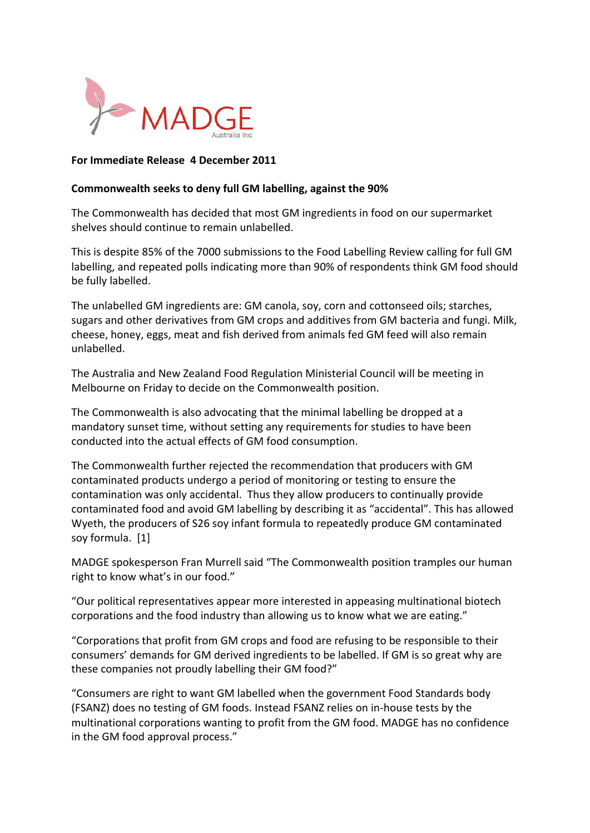

## **For
Immediate
Release 4
December
2011**

## **Commonwealth
seeks
to
deny
full
GM
labelling,
against
the
90%**

The
Commonwealth
has
decided
that
most
GM
ingredients
in
food
on
our
supermarket shelves
should
continue
to
remain
unlabelled.

This is despite 85% of the 7000 submissions to the Food Labelling Review calling for full GM labelling, and repeated polls indicating more than 90% of respondents think GM food should be
fully
labelled.

The
unlabelled
GM
ingredients
are:
GM
canola,
soy,
corn
and
cottonseed
oils;
starches, sugars and other derivatives from GM crops and additives from GM bacteria and fungi. Milk, cheese,
honey,
eggs,
meat
and
fish
derived
from
animals
fed
GM
feed
will
also
remain unlabelled.

The
Australia
and
New
Zealand
Food
Regulation
Ministerial
Council
will
be
meeting
in Melbourne
on
Friday
to
decide
on
the
Commonwealth
position.

The Commonwealth is also advocating that the minimal labelling be dropped at a mandatory
sunset
time,
without
setting
any
requirements
for
studies
to
have
been conducted
into
the
actual
effects
of
GM
food
consumption.

The Commonwealth further rejected the recommendation that producers with GM contaminated
products
undergo
a
period
of
monitoring
or
testing
to
ensure
the contamination
was
only
accidental. Thus
they
allow
producers
to
continually
provide contaminated
food
and
avoid
GM
labelling
by
describing
it
as
"accidental".
This
has
allowed Wyeth,
the
producers
of
S26
soy
infant
formula
to
repeatedly
produce
GM
contaminated soy
formula. [1]

MADGE
spokesperson
Fran
Murrell
said
"The
Commonwealth
position
tramples
our
human right to know what's in our food."

"Our
political
representatives
appear
more
interested
in
appeasing
multinational
biotech corporations
and
the
food
industry
than
allowing
us
to
know
what
we
are
eating."

"Corporations that profit from GM crops and food are refusing to be responsible to their consumers'
demands
for
GM
derived
ingredients
to
be
labelled.
If
GM
is
so
great
why
are these
companies
not
proudly
labelling
their
GM
food?"

"Consumers are right to want GM labelled when the government Food Standards body (FSANZ)
does
no
testing
of
GM
foods.
Instead
FSANZ
relies
on
in‐house
tests
by
the multinational
corporations
wanting
to
profit
from
the
GM
food.
MADGE
has
no
confidence in the GM food approval process."